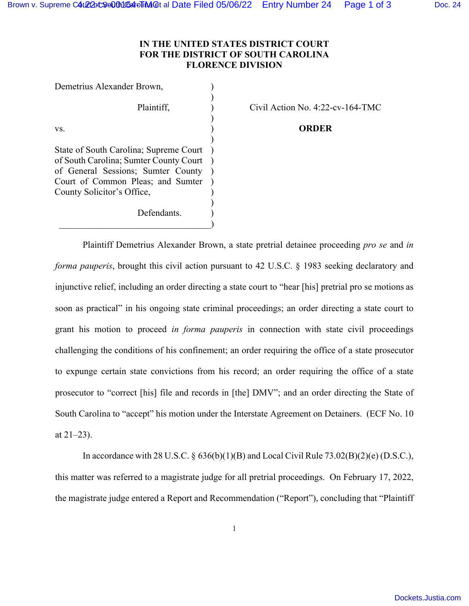) ) ) ) ) ) ) ) ) ) ) ) )

## **IN THE UNITED STATES DISTRICT COURT FOR THE DISTRICT OF SOUTH CAROLINA FLORENCE DIVISION**

Demetrius Alexander Brown, Plaintiff, vs. State of South Carolina; Supreme Court of South Carolina; Sumter County Court of General Sessions; Sumter County Court of Common Pleas; and Sumter County Solicitor's Office, Defendants.

 $\qquad \qquad )$ 

Civil Action No. 4:22-cv-164-TMC

**ORDER** 

 Plaintiff Demetrius Alexander Brown, a state pretrial detainee proceeding *pro se* and *in forma pauperis*, brought this civil action pursuant to 42 U.S.C. § 1983 seeking declaratory and injunctive relief, including an order directing a state court to "hear [his] pretrial pro se motions as soon as practical" in his ongoing state criminal proceedings; an order directing a state court to grant his motion to proceed *in forma pauperis* in connection with state civil proceedings challenging the conditions of his confinement; an order requiring the office of a state prosecutor to expunge certain state convictions from his record; an order requiring the office of a state prosecutor to "correct [his] file and records in [the] DMV"; and an order directing the State of South Carolina to "accept" his motion under the Interstate Agreement on Detainers. (ECF No. 10 at  $21-23$ ).

 In accordance with 28 U.S.C. § 636(b)(1)(B) and Local Civil Rule 73.02(B)(2)(e) (D.S.C.), this matter was referred to a magistrate judge for all pretrial proceedings. On February 17, 2022, the magistrate judge entered a Report and Recommendation ("Report"), concluding that "Plaintiff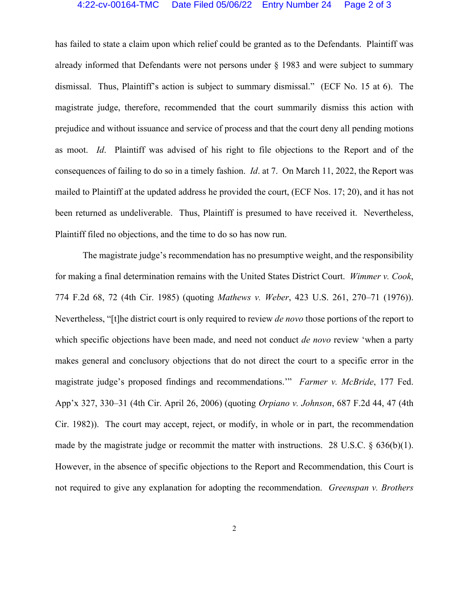## 4:22-cv-00164-TMC Date Filed 05/06/22 Entry Number 24 Page 2 of 3

has failed to state a claim upon which relief could be granted as to the Defendants. Plaintiff was already informed that Defendants were not persons under § 1983 and were subject to summary dismissal. Thus, Plaintiff's action is subject to summary dismissal." (ECF No. 15 at 6). The magistrate judge, therefore, recommended that the court summarily dismiss this action with prejudice and without issuance and service of process and that the court deny all pending motions as moot. *Id*. Plaintiff was advised of his right to file objections to the Report and of the consequences of failing to do so in a timely fashion. *Id*. at 7. On March 11, 2022, the Report was mailed to Plaintiff at the updated address he provided the court, (ECF Nos. 17; 20), and it has not been returned as undeliverable. Thus, Plaintiff is presumed to have received it. Nevertheless, Plaintiff filed no objections, and the time to do so has now run.

 The magistrate judge's recommendation has no presumptive weight, and the responsibility for making a final determination remains with the United States District Court. *Wimmer v. Cook*, 774 F.2d 68, 72 (4th Cir. 1985) (quoting *Mathews v. Weber*, 423 U.S. 261, 270–71 (1976)). Nevertheless, "[t]he district court is only required to review *de novo* those portions of the report to which specific objections have been made, and need not conduct *de novo* review 'when a party makes general and conclusory objections that do not direct the court to a specific error in the magistrate judge's proposed findings and recommendations.'" *Farmer v. McBride*, 177 Fed. App'x 327, 330–31 (4th Cir. April 26, 2006) (quoting *Orpiano v. Johnson*, 687 F.2d 44, 47 (4th Cir. 1982)). The court may accept, reject, or modify, in whole or in part, the recommendation made by the magistrate judge or recommit the matter with instructions. 28 U.S.C. § 636(b)(1). However, in the absence of specific objections to the Report and Recommendation, this Court is not required to give any explanation for adopting the recommendation. *Greenspan v. Brothers*